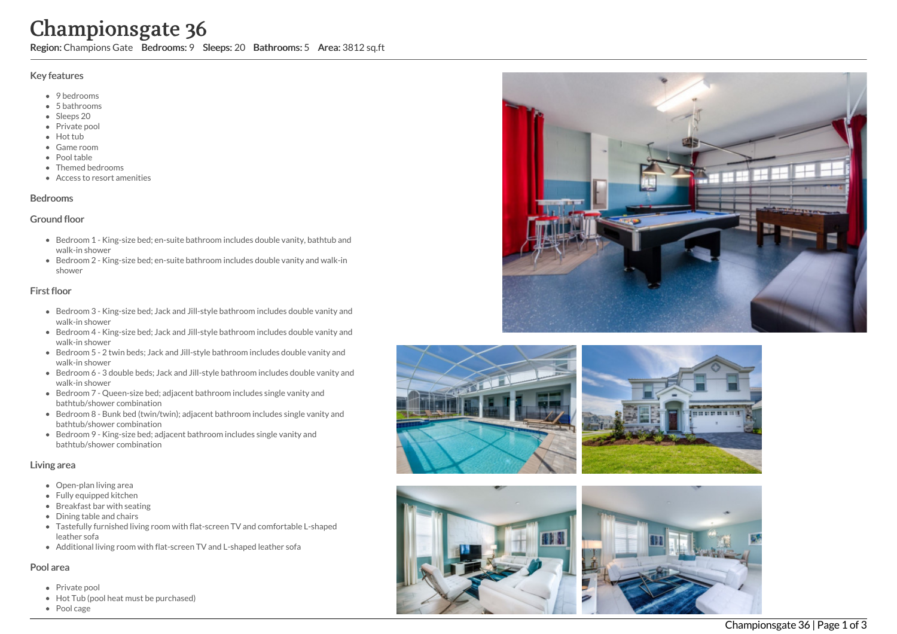# Championsgate 36

Region: Champions Gate Bedrooms: 9 Sleeps: 20 Bathrooms: 5 Area: 3812 sq.ft

## Key features

- 9 bedrooms
- 5 b a t h r o o m s
- Sleeps 20
- Private pool
- Hot tub
- Game room
- Pool table
- Themed bedrooms
- Access to resort amenities

## **Bedrooms**

#### Ground floor

- Bedroom 1 King-size bed; en-suite bathroom includes double vanity, bathtub and walk-in shower
- Bedroom 2 King-size bed; en-suite bathroom includes double vanity and walk-in s h o w e r

## First floor

- Bedroom 3 King-size bed; Jack and Jill-style bathroom includes double vanity and walk-in shower
- Bedroom 4 King-size bed; Jack and Jill-style bathroom includes double vanity and walk-in shower
- Bedroom 5 2 twin beds; Jack and Jill-style bathroom includes double vanity and walk-in shower
- Bedroom 6 3 double beds; Jack and Jill-style bathroom includes double vanity and walk-in shower
- Bedroom 7 Queen-size bed; adjacent bathroom includes single vanity and bathtub/shower combination
- Bedroom 8 Bunk bed (twin/twin); adjacent bathroom includes single vanity and bathtub/shower combination
- Bedroom 9 King-size bed; adjacent bathroom includes single vanity and bathtub/shower combination

## Living area

- Open-plan living area
- Fully equipped kitchen
- Breakfast bar with seating
- Dining table and chairs
- Tastefully furnished living room with flat-screen TV and comfortable L-shaped leather sofa
- Additional living room with flat-screen TV and L-shaped leather sofa

## Pool area

- Private pool
- Hot Tub (pool heat must be purchased)
- Pool cage









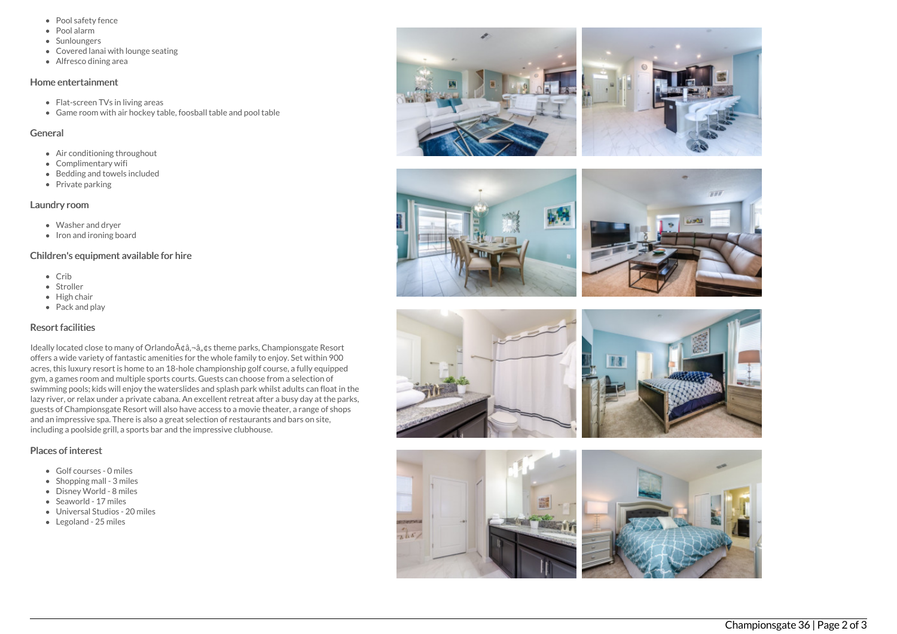- Pool safety fence
- Pool alarm
- Sunloungers
- Covered lanai with lounge seating
- Alfresco dining area

# Home entertainment

- Flat-screen TVs in living areas
- Game room with air hockey table, foosball table and pool table

## General

- Air conditioning throughout
- Complimentary wifi
- Bedding and towels included
- Private parking

# Laundry room

- Washer and dryer
- Iron and ironing board

# Children's equipment available for hire

- Crib
- Stroller
- High chair
- Pack and play

# Resort facilities

Ideally located close to many of Orlando A¢â,¬â"¢s theme parks, Championsgate Resort offers a wide variety of fantastic amenities for the whole family to enjoy. Set within 900 acres, this luxury resort is home to an 18-hole championship golf course, a fully equipped gym, a games room and multiple sports courts. Guests can choose from a selection of swimming pools; kids will enjoy the waterslides and splash park whilst adults can float in the lazy river, or relax under a private cabana. An excellent retreat after a busy day at the parks, guests of Championsgate Resort will also have access to a movie theater, a range of shops and an impressive spa. There is also a great selection of restaurants and bars on site, including a poolside grill, a sports bar and the impressive clubhouse.

# Places of interest

- Golf courses 0 miles
- $\bullet$  Shopping mall 3 miles
- Disney World 8 miles
- Seaworld 17 miles
- Universal Studios 20 miles
- Legoland 25 miles